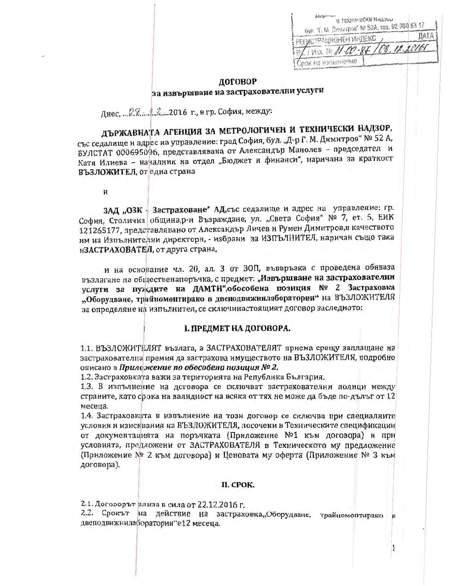| и технически нацзор<br>бул. Т. М. Сультров" № 52А, тел. 02 980 63 17 |             |
|----------------------------------------------------------------------|-------------|
| РЕГИСТРАЦИОНЕН ИНДЕКС                                                | <b>DATA</b> |
| TIVES 11 11-00-87 /08. 12.20160                                      |             |
|                                                                      |             |

## договор за извършване на застрахователни услуги

Лнес. ... 08. 4.2. .. 2016 г., в гр. София, между:

ДЪРЖАВНАТА АГЕНЦИЯ ЗА МЕТРОЛОГИЧЕН И ТЕХНИЧЕСКИ НАДЗОР, със седалище и адрес иа управление: град София, бул. "Д-р Г. М. Димитров" № 52 А, БУЛСТАТ 000695096, представлявана от Александър Манолев - председател и Катя Илиева - началник на отдел "Бюджет и финанси", наричана за краткост ВЪЗЛОЖИТЕЛ, от една страна

 $\mathbf{H}$ 

ЗАД "ОЗК - Застраховане" АД, със седалище и адрес на управление: гр. София, Столична община, р-н Възраждане, ул. "Света София" № 7, ет. 5, ЕИК 121265177, представлявано от Александър Личев и Румен Димитров, в качеството им на Изпълните чни директори, - избрани за ИЗПЪЛНИТЕЛ, наричан също така иЗАСТРАХОВАТЕЛ, от друга страна,

и на основание чл. 20, ал. 3 от ЗОП, въввръзка с проведена обяваза възлагане на общественапоръчка, с предмет: "Извършване на застрахователни услуги за нуждите на ДАМТН", обособена позиция № 2 Застраховка "Оборудване, трайномонтирано в двеподвижнилаборатории" на ВЪЗЛОЖИТЕЛЯ за определяне на изпълнител, се сключинастоящият договор заследното:

### І. ПРЕДМЕТ НА ДОГОВОРА.

1.1. ВЪЗЛОЖИТЕЛЯТ възлага, а ЗАСТРАХОВАТЕЛЯТ приема срещу заплащане на застрахователна премия да застрахова имуществото на ВЪЗЛОЖИТЕЛЯ, подробно описано в Прилоэкение по обособена позиция № 2.

1.2. Застраховката важи за територията на Република България.

1.3. В изпълнение на договора се сключват застрахователни полици между страните, като срока на валидност на всяка от тях не може да бъде по-дълъг от 12 месеца.

1.4. Застраховката в изпълнение на този договор се сключва при специалните условия и изисквания на ВЪЗЛОЖИТЕЛЯ, посочени в Техническите спецификации от документацията на поръчката (Приложение №1 към договора) и при условията, предложени от ЗАСТРАХОВАТЕЛЯ в Техническото му предложение (Приложение № 2 към договора) и Ценовата му оферта (Приложение № 3 към договора).

### II. CPOK.

2.1. Договорът олиза в сила от 22.12.2016 г.

2.2. Срокът на действие на застраховка, Оборудване, трайцомонтирано двеподвижнилаборатории"е12 месеца.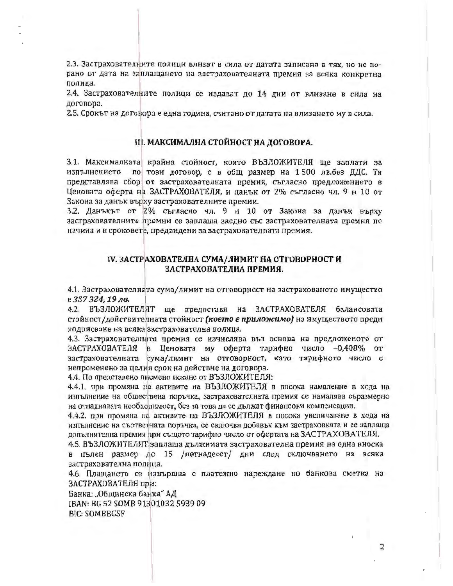2.3. Застрахователните полици влизат в сила от датата записана в тях, но не порано от дата на заплащането на застрахователната премия за всяка конкретна полица.

2.4. Застрахователните полици се издават до 14 дни от влизане в сила на договора.

2.5. Срокът на договора е една година, считано от датата на влизането му в сила.

### III. МАКСИМАЛНА СТОЙНОСТ НА ДОГОВОРА.

3.1. Максималната крайна стойност, която ВЪЗЛОЖИТЕЛЯ ще заплати за по този договор, е в общ размер на 1500 лв.без ДДС. Тя изпълнението представлява сбор от застрахователната премия, съгласно предложението в Ценовата оферта на ЗАСТРАХОВАТЕЛЯ, и данък от 2% съгласно чл. 9 и 10 от Закона за данък върху застрахователните премии.

3.2. Данъкът от 2% съгласно чл. 9 и 10 от Закона за данък върху застрахователните премии се заплаща заедно със застрахователната премия по начина и в сроковете, предвидени за застрахователната премия.

### IV. ЗАСТРАХОВАТЕЛНА СУМА/ЛИМИТ НА ОТГОВОРНОСТ И ЗАСТРАХОВАТЕЛНА ПРЕМИЯ.

4.1. Застрахователната сума/лимит на отговорност на застрахованото имущество е 337 324, 19 лв.

4.2. ВЪЗЛОЖИТЕЛЯТ ще предоставя на ЗАСТРАХОВАТЕЛЯ балансовата стойност/действителната стойност (което е приложимо) на имуществото преди подписване на всяка застрахователна полица.

4.3. Застрахователната премия се изчислява въз основа на предложеното от ЗАСТРАХОВАТЕЛЯ в Ценовата му оферта тарифно число -0,408% от застрахователната сума/лимит на отговорност, като тарифното число е непроменено за целия срок на действие на договора.

4.4. По представено писмено искане от ВЪЗЛОЖИТЕЛЯ:

4.4.1. при промяна на активите на ВЪЗЛОЖИТЕЛЯ в посока намаление в хода на изпълнение на обществена поръчка, застрахователната премия се намалява съразмерно на отпадналата необходимост, без за това да се дължат финансови компенсации.

4.4.2. при промяна на активите на ВЪЗЛОЖИТЕЛЯ в посока увеличаване в хода на изпълнение на съответната поръчка, се сключва добавък към застраховката и се заплаща допълнителна премия при същото тарифно число от офертата на ЗАСТРАХОВАТЕЛЯ.

4.5. ВЪЗЛОЖИТЕЛЯТ заплаща дължимата застрахователна премия на една вноска в пълен размер до 15 /петнадесет/ дни след сключването на всяка застрахователна полица.

4.6. Плащането се извършва с платежно нареждане по банкова сметка на ЗАСТРАХОВАТЕЛЯ при:

Банка: "Общинска банка" АД IBAN: BG 52 SOMB 91301032 5939 09 **BIC: SOMBBGSF**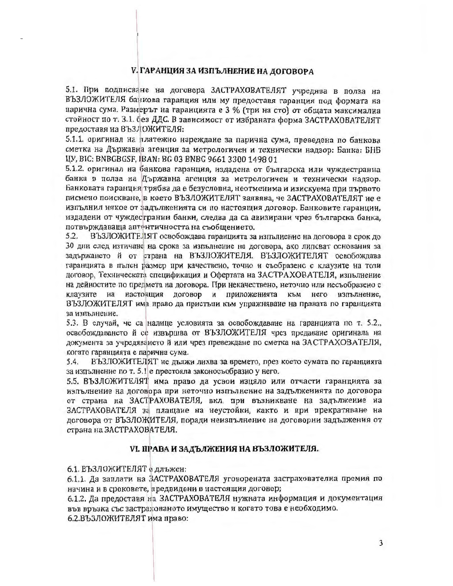### V. ГАРАНЦИЯ ЗА ИЗПЪЛНЕНИЕ НА ДОГОВОРА

5.1. При подписване на договора ЗАСТРАХОВАТЕЛЯТ учредява в полза на ВЪЗЛОЖИТЕЛЯ банкова гаранция или му предоставя гаранция под формата на парична сума. Размерът на гаранцията е 3 % (три на сто) от общата максимална стойност по т. 3.1. без ДДС. В зависимост от избраната форма ЗАСТРАХОВАТЕЛЯТ предоставя на ВЪЗЛОЖИТЕЛЯ:

5.1.1. оригинал на платежно нареждане за парична сума, преведена по банкова сметка на Държавна агенция за метрологичен и технически надзор: Банка; БНБ ЦУ, BIC: BNBGBGSF, IBAN: BG 03 BNBG 9661 3300 1498 01

5.1.2. оригинал на банкова гаранция, издадена от българска или чуждестранна банка в полза на Държавна агенция за метрологичен и технически надзор. Банковата гаранция трябва да е безусловна, неотменима и изискуема при първото писмено поискване, в което ВЪЗЛОЖИТЕЛЯТ заявява, че ЗАСТРАХОВАТЕЛЯТ не е изпълнил някое от задълженията си по настоящия договор. Банковите гаранции, издадени от чуждестранни банки, следва да са авизирани чрез българска банка. потвърждаваща автентичността на съобщението.

5.2. ВЪЗЛОЖИТЕЛЯТ освобождава гаранцията за изпълнение на договора в срок до 30 дни след изтичане на срока за изпълнение на договора, ако липсват основания за задържането й от страна на ВЪЗЛОЖИТЕЛЯ. ВЪЗЛОЖИТЕЛЯТ освобождава гаранцията в пълен размер при качествено, точно и съобразено с клаузите на този договор, Техническата спецификация и Офертата на ЗАСТРАХОВАТЕЛЯ, изпълнение на дейностите по предмета на договора. При некачествено, неточно или несъобразено с клаузите на настоящия договор и приложенията към него изпълнение, ВЪЗЛОЖИТЕЛЯТ има право да пристъпи към упражняване на праната по гаранцията за изпълнение.

5.3. В случай, че са налице условията за освобождаване на гаранцията по т. 5.2., освобождаването й се извършва от ВЪЗЛОЖИТЕЛЯ чрез предаване оригинала на документа за учредяването й или чрез превеждане по сметка на ЗАСТРАХОВАТЕЛЯ, когато гаранцията е парична сума.

5.4. ВЪЗЛОЖИТЕЛЯТ не дължи лихва за времето, през което сумата по гаранцията за изпълнение по т. 5.1 е престояла законосъобразно у него.

5.5. ВЪЗЛОЖИТЕЛЯТ има право да усвои изцяло или отчасти гаранцията за изпълнение на договора при неточно изпълнение на задълженията по договора от страна на ЗАСТРАХОВАТЕЛЯ, вкл. при възникване на задължение на ЗАСТРАХОВАТЕЛЯ за плащане на неустойки, както и при прекратяване на договора от ВЪЗЛОЖИТЕЛЯ, поради неизпълнение на договорни задължения от страна на ЗАСТРАХОВАТЕЛЯ.

### VI. ПРАВА И ЗАДЪЛЖЕНИЯ НА ВЪЗЛОЖИТЕЛЯ.

6.1. ВЪЗЛОЖИТЕЛЯТ е длъжен:

6.1.1. Да заплати на ЗАСТРАХОВАТЕЛЯ уговорената застрахователна премия по начина и в сроковете, предвидени в настоящия договор;

6.1.2. Да предоставя на ЗАСТРАХОВАТЕЛЯ нужната информация и документация във връзка със застрахованото имущество и когато това е необходимо.

6.2.ВЪЗЛОЖИТЕЛЯТ има право: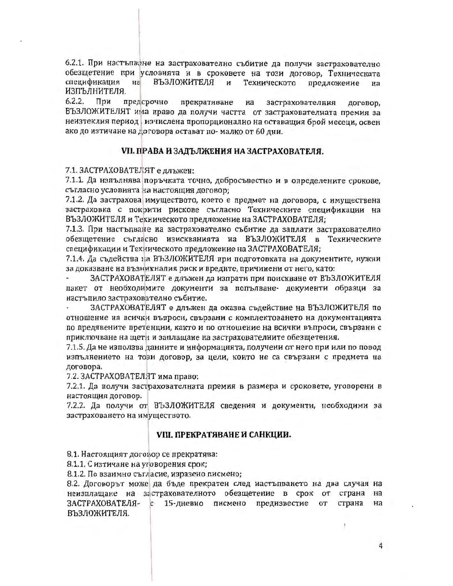6.2.1. При настъпване на застрахователно събитие да получи застрахователно обезщетение при условията и в сроковете на този договор, Техническата спецификация на ВЪЗЛОЖИТЕЛЯ предложение и Техническото Ha ИЗПЪЛНИТЕЛЯ.

 $6.2.2.$ При предсрочно прекратяване Ha застрахователния договор, ВЪЗЛОЖИТЕЛЯТ има право да получи частта от застрахователната премия за неизтеклия период изчислена пропорционално на оставащия брой месеци, освен ако до изтичане на договора остават по-малко от 60 дни.

### VII. ПРАВА И ЗАДЪЛЖЕНИЯ НА ЗАСТРАХОВАТЕЛЯ.

7.1. ЗАСТРАХОВАТЕЛЯТ е длъжен:

7.1.1. Да изпълнява поръчката точно, добросъвестно и в определените срокове. съгласно условията на настоящия договор;

7.1.2. Да застрахова имуществото, което е предмет на договора, с имуществена застраховка с покрити рискове съгласно Техническите спецификации на ВЪЗЛОЖИТЕЛЯ и Техническото предложение на ЗАСТРАХОВАТЕЛЯ;

7.1.3. При настъпване на застрахователно събитие да заплати застрахователно обезщетение съгласно изискванията на ВЪЗЛОЖИТЕЛЯ в Техническите спецификации и Техническото предложение на ЗАСТРАХОВАТЕЛЯ;

7.1.4. Да съдейства на ВЪЗЛОЖИТЕЛЯ при подготовката на документите, нужни за доказване на възникналия риск и вредите, причинени от него, като:

ЗАСТРАХОВАТЕЛЯТ е длъжен да изпрати при поискване от ВЪЗЛОЖИТЕЛЯ пакет от необходимите документи за попълване- документи образци за настъпило застрахователно събитие.

ЗАСТРАХОВАТЕЛЯТ е длъжен да оказва съдействие на ВЪЗЛОЖИТЕЛЯ по отношение на всички въпроси, свързани с комплектоването на документацията по предявените претенции, както и по отношение на всички въпроси, свързани с приключване на щети и заплащане на застрахователните обезщетения.

7.1.5. Да не използва данните и информацията, получени от него при или по повод изпълнението на този договор, за цели, които не са свързани с предмета на договора.

7.2. ЗАСТРАХОВАТЕЛЯТ има право:

7.2.1. Да получи застрахователната премия в размера и сроковете, уговорени в настоящия договор.

7.2.2. Да получи от ВЪЗЛОЖИТЕЛЯ сведения и документи, необходими за застраховането на имуществото.

### VIII. ПРЕКРАТЯВАНЕ И САНКЦИИ.

8.1. Настоящият договор се прекратява:

8.1.1. С изтичане на уговорения срок;

8.1.2. По взаимно съгласие, изразено писмено;

8.2. Договорът може да бъде прекратен след настъпването на два случая на неизплащане на застрахователното обезщетение в срок от страна на ЗАСТРАХОВАТЕЛЯ- с 15-дневно писмено предизвестие от на страна ВЪЗЛОЖИТЕЛЯ.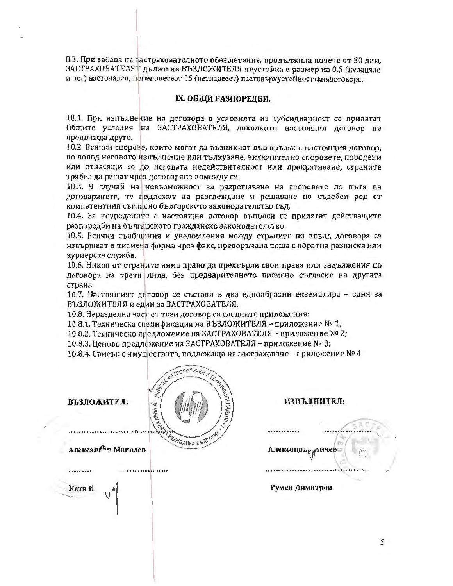8.3. При забава на застрахователното обезщетение, продължила повече от 30 дни. ЗАСТРАХОВАТЕЛЯТ дължи на ВЪЗЛОЖИТЕЛЯ неустойка в размер на 0.5 (нулацяло и пет) настонаден, нонеповечеот 15 (петнадесет) настовърхустойносттаналоговора.

### IX. ОБЩИ РАЗПОРЕДБИ.

10.1. При изпълнение на договора в условията на субсидиарност се прилагат Общите условия на ЗАСТРАХОВАТЕЛЯ, доколкото настоящия договор не предвижда друго.

10.2. Всички спорове, които могат да възникнат във връзка с настоящия договор, по повод неговото изпълнение или тълкуване, включително споровете, породени или отнасящи се до неговата недействителност или прекратяване, страните трябва да решат чрез договаряне помежду си.

10.3. В случай на невъзможност за разрешаване на споровете по пътя на договарянето, те подлежат на разглеждане и решаване по съдебен ред от компетентния съгласно българското законодателство съд.

10.4. За неуредените с настоящия договор въпроси се прилагат действащите разпоредби на българското гражданско законодателство.

10.5. Всички съобщения и уведомления между страните по повод договора се извършват в писмена форма чрез факс, препоръчана поща с обратна разписка или куриерска служба.

10.6. Никоя от страните няма право да прехвърля свои права или задължения по договора на трети лица, без предварителното писмено съгласие на другата страна.

10.7. Настоящият договор се състави в два еднообразни екземпляра - един за ВЪЗЛОЖИТЕЛЯ и един за ЗАСТРАХОВАТЕЛЯ.

10.8. Неразделна част от този договор са следните приложения:

10.8.1. Техническа спецификация на ВЪЗЛОЖИТЕЛЯ - приложение № 1;

10.8.2. Техническо предложение на ЗАСТРАХОВАТЕЛЯ – приложение № 2;

10.8.3. Ценово предложение на ЗАСТРАХОВАТЕЛЯ – приложение № 3;

10.8.4. Списък с имуществото, подлежащо на застраховане – приложение № 4

| ASSESSMENT REVIEW AT THE REAL PROPERTY OF THE REAL PROPERTY OF THE REAL PROPERTY OF THE REAL PROPERTY OF THE REAL PROPERTY OF THE REAL PROPERTY OF THE REAL PROPERTY OF THE REAL PROPERTY OF THE REAL PROPERTY OF THE REAL PRO<br>ВЪЗЛОЖИТЕЛ: | ИЗПЪЛНИТЕЛ:      |
|-----------------------------------------------------------------------------------------------------------------------------------------------------------------------------------------------------------------------------------------------|------------------|
| Алексан <sup>А</sup> » Манолев                                                                                                                                                                                                                | Александър умчев |
| Катя И<br>₫<br>J                                                                                                                                                                                                                              | Румен Димитров   |
|                                                                                                                                                                                                                                               |                  |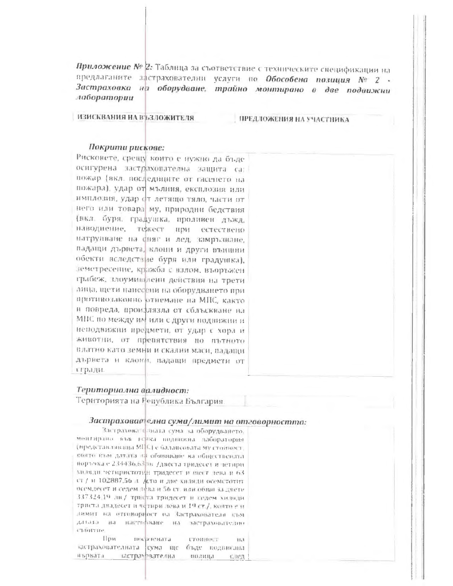Приложение № 2: Таблица за съответствие с техническите спецификации на предлаганите застрахователни услуги по Обособена позиция № 2 -Застраховка на оборудване, трайно монтирано в две подвижни лаборатории

ИЗИСКВАНИЯ НА ВЪЗЛОЖИТЕЛЯ

ПРЕДЛОЖЕНИЯ НА УЧАСТНИКА

#### Покрити рискове:

Рисконете, срещу които е иужно да бъдеосигурена застрахователна защита са: пожар (вкл. последиците от гасенето на пожара), удар от мълния, експлозия илиимплозия, удар от летящо тяло, части от него или товара му, природни бедствия (вкл. буря, градушка, пролнвен дъжд. наводнение, тежест при естествено натрупване на свяг и лед, замръзване, падащи дървета, клони и други външни обекти вследствие буря или градушка). земетресение, кражба с излом, въоръжен грабеж, элоумищаени действия на трети лица, щети нанесени на оборудването при противозаконно отнемане на МПС, както и повреда, проидлязла от сблъскване на МНС по между им или с други подвижни и неподвижни предмети, от удар с хора и животни, от препятствия но пътното платно като земни и скални маси, падащи дървета и клони, падащи предмети от стради.

### Териториална валидност:

Територията на Пепублика България.

#### Застрахователна сума/лимит на отговорността:

Застрахователната сума за оборудването. ментирано във всека возвижна ваборатория (представляваны МПС) с балансовата муз товност. поято към датлта на обявяване ва обществената порточка е 234436.63 пл. Двеста тридесет и четири хилиди четиристотин тридесет и внег лека и 63 ст / и 102887.56 д. Асто и две хизяди осемстотит осемдесет и седем драз и 56 ст. или общо за двети 337324.19 ли/ трифта тридесет и седем хилиди триста двадесет и четнри лева и 19 ст./, която е и димит на отговориют на Застрахователи към датьга на пастирамие на застрахователю CTRIFFIC.

 $\prod_{i=1}^{n}$ носртената **ГТОННОСТ**  $15.5$ застрахователната сума ще бъде подвислил иърката застрахователна инации 信服品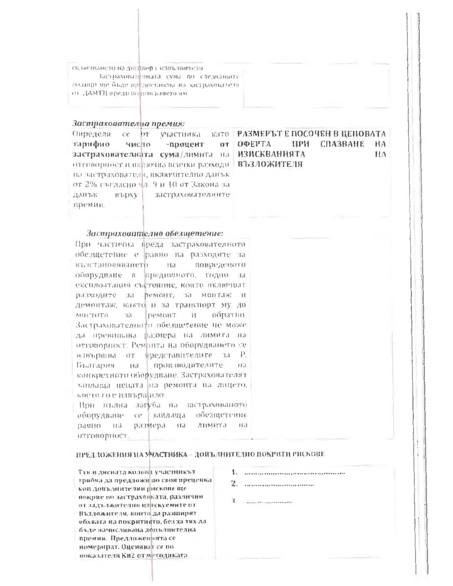сключилаето на договора илиъзнителя Здетваховителната сума по следвашите полнци ще бъде предоставена на застрахователя ин отзным липолиалы HTMAJ, та

#### Застрахователна премия:

Определя се  $hT$ участника тарифно число -процент застрахователната сума/лимита на отговорност и включва всички разходи ВЪЗЛОЖИТЕЛЯ на читрахователи, включително данък от 2% съгласно чд 9 и 10 от Закона за данък **BT-DNV** застрахователните премии.

#### като РАЗМЕРЪТ Е ПОСОЧЕН В ЦЕНОВАТА от ОФЕРТА **ПРИ СПАЗВАНЕ HA ИЗИСКВАНИЯТА HA**

#### Застрахователно обезщетение:

При частична преда застрахователното обезщетение е равно на разходите за възстановяването новреденото Ha оборудване и предишното, годно за ексилоатация състояние, които включаат разходите за ремонт, за монтаж и демонтаж, както и за транспорт му до пемонт обратио. MACTUTO 书  $\mathcal{H}$ Застрахователното обезщетение не може да превищава размера на лимита на отговорност. Ремонта на оборудването се извършва от представителите за Р. производителите  $-113$ България Ha конкретното оборудване. Застрахователят заплаща цената на ремонта на лицето, косто го е извърщило.

При пълна загуба на застрахованото заплаща вбезщетение оборудване се размера на лимита на равно на отговорност.

### ПРЕДЛОЖЕНИЯ НА УЧАСТНИКА - ДОПЪЛНИТЕЛНО ПОКРИТИ РИСКОВЕ

Тук в дисилта колона участникът трябва да предложи по своя преценка кон допълнителинрискове ще покрие по застраховката, различии от задължително изнакуемите от Възложителя, конта да разширят обхвата на покритието, без за тях да бъде начисливана дельзнителна премия. Предложенията се номерират. Оценяват се по показателя Ки2 от методиката.

2. . ...............................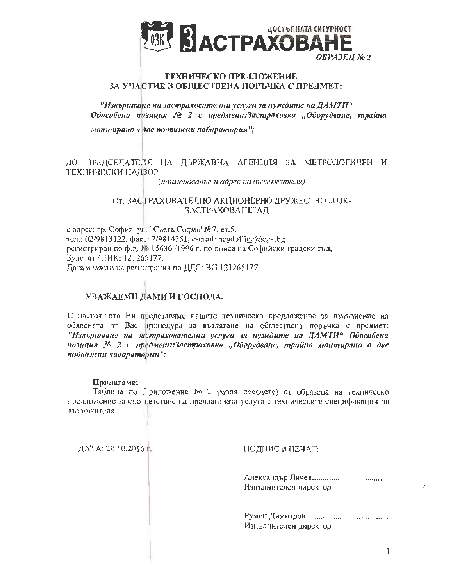

## ТЕХНИЧЕСКО ПРЕДЛОЖЕНИЕ ЗА УЧАСТИЕ В ОБЩЕСТВЕНА ПОРЪЧКА С ПРЕДМЕТ:

"Извършване на застрахователни услуги за пуждите на ДАМТН" Обособена позиция № 2 с предмет:Застраховка "Оборудване, трайно

монтирано в две подвижни лаборатории";

## ДО ПРЕДСЕДАТЕЛЯ НА ДЪРЖАВНА АГЕНЦИЯ ЗА МЕТРОЛОГИЧЕН И ТЕХНИЧЕСКИ НАДЗОР

(наименование и адрес на възложителя)

### От: ЗАСТРАХОВАТЕЛНО АКЦИОНЕРНО ДРУЖЕСТВО "ОЗК-ЗАСТРАХОВАНЕ"АД

с адрес: гр. София уд." Света София"№7, ет.5, тел.: 02/9813122, факс: 2/9814351, e-mail: headoffice@ozk.bg регистриран по ф.д. № 15636 /1996 г. по описа на Софийски градски съд, Булстат / ЕИК: 121265177. Лата и място на регистрация по ДДС: ВG 121265177

## УВАЖАЕМИ ДАМИ И ГОСПОДА,

С настоящото Ви представяме нашето техническо предложение за изпълнение на обявената от Вас процедура за възлагане на обществена поръчка с предмет: "Извършване на застрахователни услуги за нуждите на ДАМТН" Обособена позиция № 2 с предмет::Застраховка "Оборудване, трайно монтирано в две подвижни лаборатории";

### Прилагаме:

Таблица по Приложение № 2 (моля посочете) от образеца на техническо предложение за съответствие на предлаганата услуга с техническите спецификации на възложителя.

ДАТА: 20.10.2016 г.

ПОДПИС и НЕЧАТ:

Александър Личев.............. .......... Изпълнителен директор

Изнълнителен директор

 $\mathbf{I}$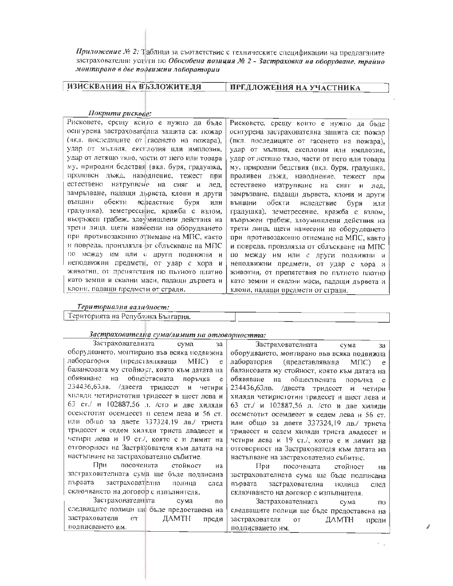Приложение № 2: Таблица за съответствие с техническите спецификации на предлаганите застрахователни услуги по Обособена позиция № 2 - Застраховка на оборудване, трайно монтирано в две подвижни лаборатории

ИЗИСКВАНИЯ НА ВЪЗЛОЖИТЕЛЯ

ПРЕДЛОЖЕНИЯ НА УЧАСТНИКА

#### Покрити рискове:

Рисковете, срещу които е нужно да бъде осигурена застрахователна защита са: пожар (вкл. последиците от гасенето на пожара). удар от мыння, ексилозия или имплозия, удар от летящо тядо, части от него или товара му, природни бедствия (вкл. буря, градушка, проливен дъжд, наводление, тежест при естествено натрупване на сняг и лед. замръзване, падащи дървста, клони и други външни обекти веледствие буря или градушка), земетрессние, кражба с взлом, въоръжен грабеж, злоумишлени действия на трети лица, щети нанесени на оборудването при противозаконно отнемане на МПС, както и повреда, произлязла эт сблъскване на МПС но между им или с други подвижни и неподвижни предмети, от удар с хора и животни, от пренятствия по пътното платно като земни и скални маси, падащи дървета и клони, падащи предмети от сгради.

Рисковсте, срещу които е нужно да бъде осигурена застрахователна защита са: пожар (вкл. последиците от гасенето на пожара). удар от мълния, експлозия или имплозия. удар от летящо тяло, части от него или товара му, природни бедствия (вкл. буря, градушка, проливен дъжд, наводнение, тежест при естествено натруиване на сняг и лед, замръзване, падащи дървста, клони и други външни обекти вследствие буря или градушка), земетресение, кражба с взлом, въоръжен грабеж, злоумищлени действия на трети лица, щети нанесени на оборудването при противозаконно отнемане на МПС, както и повреда, произлязла от сблъскване на МПС по между им или с други подвижни и неподвижни предмети, от удар с хора и животни, от препятствия по пътното платно като земни и скални маси, падащи дървета и клони, падащи предмети от сгради.

#### Териториална валидност:

подписването им.

Територията на Република България.

| Застрахователната сума<br>3a                                                       | Застрахователната сума<br>3a                    |  |
|------------------------------------------------------------------------------------|-------------------------------------------------|--|
| оборудването, монтирано във всяка подвижна                                         | оборудването, монтирано във всяка подвижна      |  |
| лаборатория<br>(представляваща<br>$MI(C)$ e                                        | лаборатория<br>(представлявацца<br>MIIC)<br>e e |  |
| балансовата му стойност, която към датата на                                       | балансовата му стойност, която към датата на    |  |
| обявяване<br>на обществената поръчка<br>e                                          | обявяване на обществената поръчка е             |  |
| 234436,63лв. /двеста тридесет и четири                                             | 234436,63лв. /двеста тридесет и четири          |  |
| хнляди четиристотин тридесет и щест лева и                                         | хиляди четиристотин тридесет и шест лева и      |  |
| 63 ст./ и 102887.56 л. /сто и две хиляди                                           | 63 ст./ и 102887,56 л. /сто и две хиляди        |  |
| осемстотит осемдесет и седем лева и 56 ст.                                         | осемстотит осемдесет и седем лева и 56 ст.      |  |
| или общо за двете 337324,19 лв./ триста                                            | или общо за двете 337324,19 лв./ триста         |  |
| тридесст и седем хиляди триста двадесет и                                          | тридесст и седем хиляди триста двадесет и       |  |
| четири лева и 19 ст./, която е и лимит на                                          | четири лева и 19 ст./, която е и лимит на       |  |
| отговорност на Застрахователя към датата на                                        | отговорност на Застрахователя към датата на     |  |
| настъпване на застрахователно събитие.<br>настъпване на застрахователно събитис.   |                                                 |  |
| При посочената стойност<br>на                                                      | При<br>посочената стойност<br><b>Ha</b>         |  |
| застрахователната сума ще бъде подписана                                           | застрахователната сума ще бъде подписана        |  |
| лървата<br>застрахователна полица<br>след                                          | първата<br>застрахователна иолица<br>след       |  |
| сключването на договор с изпълнителя.                                              | сключвансто на договор с изпълнителя.           |  |
| Застрахователната<br>сума<br>Застрахователната<br>по<br>сума<br>$\Pi$ <sub>O</sub> |                                                 |  |
| следващите полици ще бъде предоставена на                                          | следващите полици ще бъде предоставена на       |  |
| застрахователя<br>ДАМТН<br>OT<br>преди                                             | застрахователя<br>$OT$ $-$<br>ДАМТН<br>преди    |  |

подписването им.

#### Застрахователна сума/лимит на отговорността: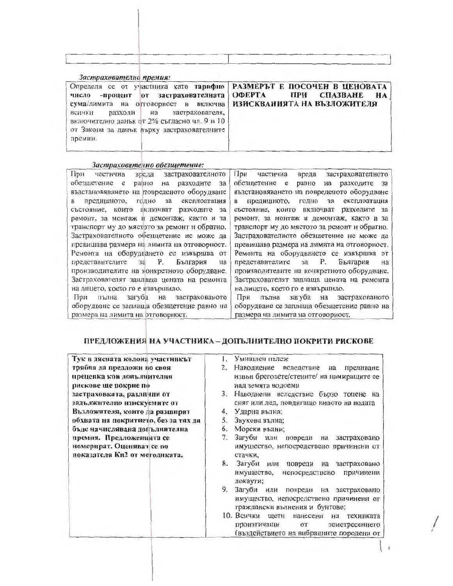| Застрахователна премия:<br>Определя се от участника като тарифно<br>-процент от застрахователната<br>число<br>сума/лимита на отговорност и включва<br>застрахователя,<br>всички<br>разходи<br>на<br>включително данък от 2% съгласно чл. 9 и 10<br>от Закона за данък върху застрахователните | <b>РАЗМЕРЪТ Е ПОСОЧЕН В ЦЕНОВАТА</b><br><b>CIIA3BAHE</b><br>ОФЕРТА<br>ПРИ<br>HA<br>ИЗИСКВАНИЯТА НА ВЪЗЛОЖИТЕЛЯ |
|-----------------------------------------------------------------------------------------------------------------------------------------------------------------------------------------------------------------------------------------------------------------------------------------------|----------------------------------------------------------------------------------------------------------------|

#### Застрахователно обезщетение:

премии.

| При<br>застрахователното<br>вреда<br>частична      | При<br>вреда<br>застрахователното<br>частична                                                      |
|----------------------------------------------------|----------------------------------------------------------------------------------------------------|
| обезщетение<br>разходите<br>равно<br>e<br>3a<br>на | обезшетение е<br>равно<br>разходите<br>3a<br>$_{Ha}$<br>възстановяването на повреденото оборудване |
| възстановяването на повреденото оборудване         | експлоатация<br>предициното,<br>годно<br>3a                                                        |
| експлоатация<br>предишното,<br>годно<br>3a<br>в    | B                                                                                                  |
| които включват разходите<br>състояние.<br>3a       | състояние, които включват разходите за                                                             |
| ремонт, за монтаж и демонтаж, както и за           | ремонт, за монтаж и демонтаж, както и за                                                           |
| транспорт му до мястото за ремонт и обратно.       | транспорт му до мястото за ремонт и обратно.                                                       |
| Застрахователното обезщетение не може да           | Застрахователното обезщетение не може да                                                           |
| превишава размера на лимита на отговорност.        | превищава размера на лимита на отговорност.                                                        |
| Ремонта на оборудването се извършва от             | Ремонта на оборудването се извършва от                                                             |
| Ρ.<br>България<br>представителите за<br>на         | <b>P.</b><br>България<br>представителите за<br>на                                                  |
| производителите на конкретното оборудване.         | производителите на конкретното оборудване.                                                         |
|                                                    |                                                                                                    |
| Застрахователят заплаща цената на ремонта          | Застрахователят заплаща цената на ремонта                                                          |
| на лицето, което го е извършило.                   | на лицето, което го е извършило.                                                                   |
| загуба на<br>застрахованото<br>11D33<br>пълна      | загуба на застрахованото<br>При<br>пълна                                                           |
| оборудване се заплаша обезщетение равно на         | оборудване се заплаща обезщетение равно на                                                         |
| размера на лимита на отговорност.                  | размера на лимита на отговорност.                                                                  |
|                                                    |                                                                                                    |

## ПРЕДЛОЖЕНИЯ НА УЧАСТНИКА - ДОПЪЛНИТЕЛНО ПОКРИТИ РИСКОВЕ

| Тук в дясната колона участникът      | Умициен палеж                                                                                                                  |
|--------------------------------------|--------------------------------------------------------------------------------------------------------------------------------|
| трябва да предложи по своя           | 2.<br>Наводнение вследствие на<br>преливане                                                                                    |
| преценка кои допълнителни            | извън бреговете/стените/ на намиращите се                                                                                      |
| рискове ще покрие по                 | над земята водоеми                                                                                                             |
| застраховката, различни от           | 3.<br>Наводнени вследствие бързо топене на                                                                                     |
| задължително изискуемите от          | сняг или лед, повдигащо нивото на водата                                                                                       |
| Възложителя, които да разширят       | Ударна вълна;<br>4.                                                                                                            |
| обхвата на покритието, без за тях да | 5.<br>Звукова вълна;                                                                                                           |
| бъде начислявана депълнителна        | Мореки вълни;<br>6.                                                                                                            |
| премия. Предложенията се             | 7.<br>Загуби или<br>повреди на<br>застраховано                                                                                 |
| номерират. Оценяват се по            | имущество, непосредствено причинени от                                                                                         |
| показателя Ки2 от методиката.        | стачки,                                                                                                                        |
|                                      | 8.<br>Загуби или повреди на застраховано                                                                                       |
|                                      | имущество,<br>непосредствено<br>причинени<br>локаути;                                                                          |
|                                      | 9.<br>Загуби или повреди на застраховано                                                                                       |
|                                      | имущество, непосредствено причинени от<br>граждански вълнения и бунтове;                                                       |
|                                      | 10. Всички щети нанесени<br>техниката<br>Ha<br>произтичащи<br>земетресението<br>OT<br>(въздействието на вибрациите породени от |

 $\begin{bmatrix} 1 & 1 \end{bmatrix}$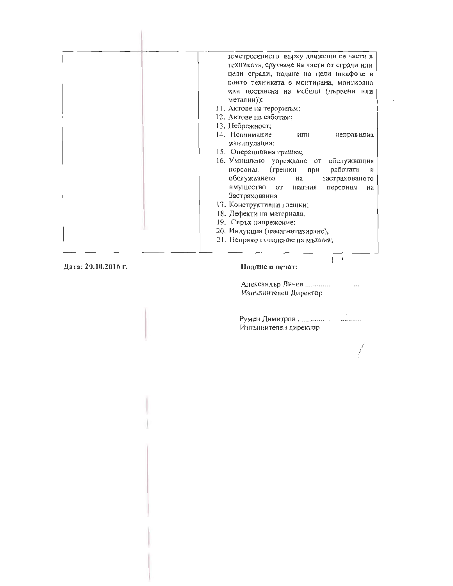| земетресението върху движещи се части в    |
|--------------------------------------------|
| техниката, срутване на части от сгради или |
| цели сгради, надане на цели шкафове в      |
| които техниката е монтирана, монтирана     |
| или поставена на мебели (дървени или       |
| метални));                                 |
| 11. Актове на тероризъм;                   |
| 12. Актове на саботаж;                     |
| 13. Небрежност;                            |
| 14. Невнимание<br>или<br>неправилна        |
| манипулация;                               |
| 15. Операционна грешка;                    |
| 16. Умишлено увреждане от обслужващия      |
| работата<br>персонал (грешки при<br>- и    |
| обслужването на<br>застрахованото          |
| имущество от патния<br>персонал<br>на      |
| Застрахования                              |
| 17. Конструктивни грешки;                  |
| 18. Дефекти на материала,                  |
| 19. Свръх напрежение:                      |
| 20. Индукция (намагнитизиране),            |
| 21. Непряко попадение на мълния;           |
|                                            |

Дата: 20.10.2016 г.

 $\mathbb{I}$ 

### Подпис и печат:

Александър Личев .............  $\ddotsc$ Изпълнителен Директор

 $\mathbb{R}^{n \times d}$ 

 $\sim$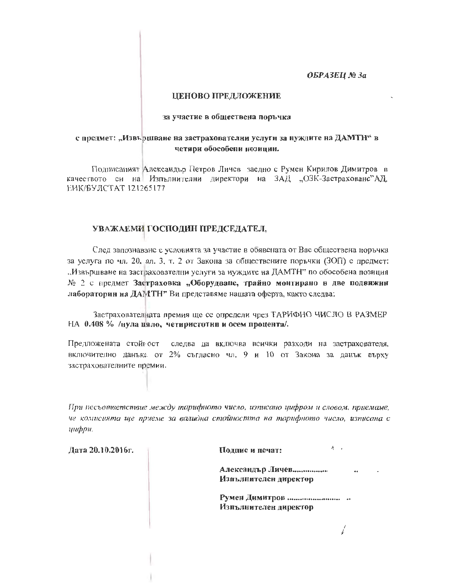ОБРАЗЕЦ № За

### ЦЕНОВО ПРЕДЛОЖЕНИЕ

#### за участие в обществена поръчка

### с предмет: "Извършване на застрахователни услуги за нуждите на ДАМТН" в четири обособени нозиции.

Подписаният Александър Петров Личев заедно с Румен Кирилов Димитров в качеството си на Изпълнителни директори на ЗАД "ОЗК-Застраховане"АД, ЕИК/БУЛСТАТ 121265177

## УВАЖАЕМИ ГОСПОДИН ПРЕДСЕДАТЕЛ,

След запознаване с условията за участие в обявената от Вас обществена поръчка за услуга по чл. 20, ал. 3, т. 2 от Закона за обществените поръчки (ЗОП) с предмет: "Извършване на застрахователни услуги за нуждите на ДАМТН" по обособена позиция № 2 с предмет Застраховка "Оборудване, трайно монтирано в две подвижни лабораторин на ДАМТН" Ви представяме нашата оферта, както следва:

Застраховател ната премия ще се определи чрез ТАРИФНО ЧИСЛО В РАЗМЕР НА 0.408 % /нула цяло, четиристотни и осем процента/.

Предложената стойност следва да включва всички разходи на застрахователя, включително данъка от 2% съгласно чл. 9 и 10 от Закона за данък върху застрахователните премии.

При несъответствие между тарифното число, изписано цифром и словом, приемаме, че комисията ще приеме за валидна стойността на тарифното число, изписана с шфри.

Дата 20.10.2016г.

Полпис и печат:

 $\Lambda \rightarrow \Lambda$ 

i

Александър Личев.................. Изиълнителен директор

Изпълнителен директор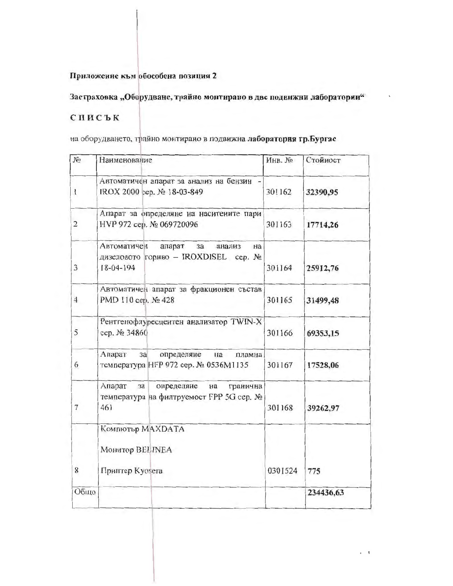## Приложение към обособена позиция 2

## Застраховка "Оборудване, трайно монтирано в две подвижни лаборатории"

## списък

на оборудването, трайно монтирано в подвижна лаборатория гр.Бургас

| N <sub>0</sub>           | Наименование                                                                                       | Инв. №  | Стойност  |
|--------------------------|----------------------------------------------------------------------------------------------------|---------|-----------|
| $\mathbf{I}$             | Автоматичен апарат за анализ на бензин<br>IROX 2000 cep. № 18-03-849                               | 301162  | 32390,95  |
| $\overline{c}$           | Апарат за определяне на наситените пари<br>НVР 972 сер. № 069720096                                | 301163  | 17714,26  |
| 3                        | Автоматичен<br>апарат<br>3a<br>анализ<br>на<br>дизеловото гориво - IROXDISEL сер. №<br>$18-04-194$ | 301164  | 25912,76  |
| $\overline{4}$           | Автоматичен апарат за фракционен състав<br>PMD 110 cep. № 428                                      | 301165  | 31499,48  |
| 5                        | Рентгенофлуресцентен анализатор TWIN-X<br>сер. № 34860                                             | 301166  | 69353,15  |
| 6                        | Апарат<br>определяне<br>3a<br>на<br>пламна<br>температура НFР 972 сер. № 0536М1135                 | 301167  | 17528,06  |
| $\overline{\phantom{a}}$ | Апарат<br>определяне<br>гранична<br>3a<br>на<br>температура на филтруемост FPP 5G сер. №<br>461    | 301168  | 39262,97  |
|                          | Компютър МАХDАТА                                                                                   |         |           |
|                          | Монитор BELINEA                                                                                    |         |           |
| 8                        | Принтер Kyosera                                                                                    | 0301524 | 775       |
| Общо                     |                                                                                                    |         | 234436,63 |

 $\overline{\phantom{a}}$